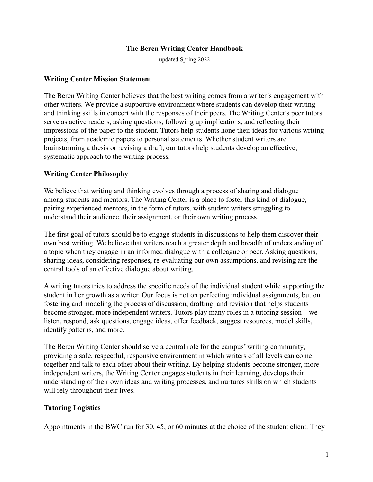#### **The Beren Writing Center Handbook**

updated Spring 2022

#### **Writing Center Mission Statement**

The Beren Writing Center believes that the best writing comes from a writer's engagement with other writers. We provide a supportive environment where students can develop their writing and thinking skills in concert with the responses of their peers. The Writing Center's peer tutors serve as active readers, asking questions, following up implications, and reflecting their impressions of the paper to the student. Tutors help students hone their ideas for various writing projects, from academic papers to personal statements. Whether student writers are brainstorming a thesis or revising a draft, our tutors help students develop an effective, systematic approach to the writing process.

#### **Writing Center Philosophy**

We believe that writing and thinking evolves through a process of sharing and dialogue among students and mentors. The Writing Center is a place to foster this kind of dialogue, pairing experienced mentors, in the form of tutors, with student writers struggling to understand their audience, their assignment, or their own writing process.

The first goal of tutors should be to engage students in discussions to help them discover their own best writing. We believe that writers reach a greater depth and breadth of understanding of a topic when they engage in an informed dialogue with a colleague or peer. Asking questions, sharing ideas, considering responses, re-evaluating our own assumptions, and revising are the central tools of an effective dialogue about writing.

A writing tutors tries to address the specific needs of the individual student while supporting the student in her growth as a writer. Our focus is not on perfecting individual assignments, but on fostering and modeling the process of discussion, drafting, and revision that helps students become stronger, more independent writers. Tutors play many roles in a tutoring session—we listen, respond, ask questions, engage ideas, offer feedback, suggest resources, model skills, identify patterns, and more.

The Beren Writing Center should serve a central role for the campus' writing community, providing a safe, respectful, responsive environment in which writers of all levels can come together and talk to each other about their writing. By helping students become stronger, more independent writers, the Writing Center engages students in their learning, develops their understanding of their own ideas and writing processes, and nurtures skills on which students will rely throughout their lives.

## **Tutoring Logistics**

Appointments in the BWC run for 30, 45, or 60 minutes at the choice of the student client. They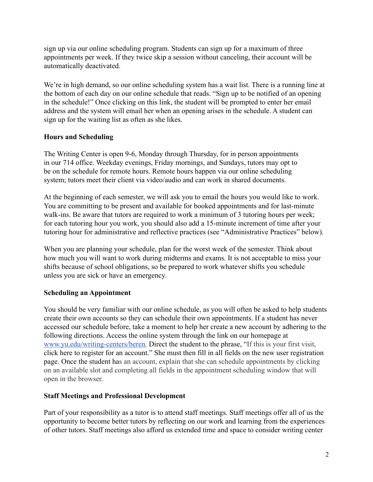sign up via our online scheduling program. Students can sign up for a maximum of three appointments per week. If they twice skip a session without canceling, their account will be automatically deactivated.

We're in high demand, so our online scheduling system has a wait list. There is a running line at the bottom of each day on our online schedule that reads. "Sign up to be notified of an opening in the schedule!" Once clicking on this link, the student will be prompted to enter her email address and the system will email her when an opening arises in the schedule. A student can sign up for the waiting list as often as she likes.

# **Hours and Scheduling**

The Writing Center is open 9-6, Monday through Thursday, for in person appointments in our 714 office. Weekday evenings, Friday mornings, and Sundays, tutors may opt to be on the schedule for remote hours. Remote hours happen via our online scheduling system; tutors meet their client via video/audio and can work in shared documents.

At the beginning of each semester, we will ask you to email the hours you would like to work. You are committing to be present and available for booked appointments and for last-minute walk-ins. Be aware that tutors are required to work a minimum of 3 tutoring hours per week; for each tutoring hour you work, you should also add a 15-minute increment of time after your tutoring hour for administrative and reflective practices (see "Administrative Practices" below).

When you are planning your schedule, plan for the worst week of the semester. Think about how much you will want to work during midterms and exams. It is not acceptable to miss your shifts because of school obligations, so be prepared to work whatever shifts you schedule unless you are sick or have an emergency.

## **Scheduling an Appointment**

You should be very familiar with our online schedule, as you will often be asked to help students create their own accounts so they can schedule their own appointments. If a student has never accessed our schedule before, take a moment to help her create a new account by adhering to the following directions. Access the online system through the link on our homepage at [www.yu.edu/writing-centers/beren](http://www.yu.edu/writing-centers/beren). Direct the student to the phrase, "If this is your first visit, click here to register for an account." She must then fill in all fields on the new user registration page. Once the student has an account, explain that she can schedule appointments by clicking on an available slot and completing all fields in the appointment scheduling window that will open in the browser.

## **Staff Meetings and Professional Development**

Part of your responsibility as a tutor is to attend staff meetings. Staff meetings offer all of us the opportunity to become better tutors by reflecting on our work and learning from the experiences of other tutors. Staff meetings also afford us extended time and space to consider writing center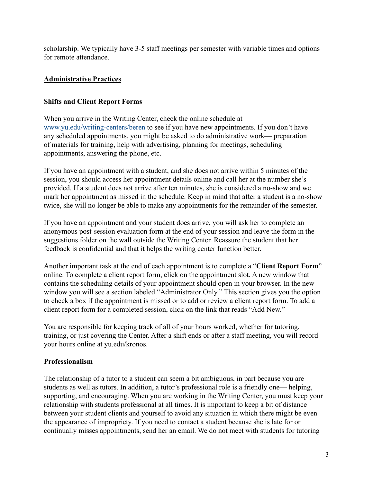scholarship. We typically have 3-5 staff meetings per semester with variable times and options for remote attendance.

# **Administrative Practices**

# **Shifts and Client Report Forms**

When you arrive in the Writing Center, check the online schedule at www.yu.edu/writing-centers/beren to see if you have new appointments. If you don't have any scheduled appointments, you might be asked to do administrative work— preparation of materials for training, help with advertising, planning for meetings, scheduling appointments, answering the phone, etc.

If you have an appointment with a student, and she does not arrive within 5 minutes of the session, you should access her appointment details online and call her at the number she's provided. If a student does not arrive after ten minutes, she is considered a no-show and we mark her appointment as missed in the schedule. Keep in mind that after a student is a no-show twice, she will no longer be able to make any appointments for the remainder of the semester.

If you have an appointment and your student does arrive, you will ask her to complete an anonymous post-session evaluation form at the end of your session and leave the form in the suggestions folder on the wall outside the Writing Center. Reassure the student that her feedback is confidential and that it helps the writing center function better.

Another important task at the end of each appointment is to complete a "**Client Report Form**" online. To complete a client report form, click on the appointment slot. A new window that contains the scheduling details of your appointment should open in your browser. In the new window you will see a section labeled "Administrator Only." This section gives you the option to check a box if the appointment is missed or to add or review a client report form. To add a client report form for a completed session, click on the link that reads "Add New."

You are responsible for keeping track of all of your hours worked, whether for tutoring, training, or just covering the Center. After a shift ends or after a staff meeting, you will record your hours online at yu.edu/kronos.

# **Professionalism**

The relationship of a tutor to a student can seem a bit ambiguous, in part because you are students as well as tutors. In addition, a tutor's professional role is a friendly one— helping, supporting, and encouraging. When you are working in the Writing Center, you must keep your relationship with students professional at all times. It is important to keep a bit of distance between your student clients and yourself to avoid any situation in which there might be even the appearance of impropriety. If you need to contact a student because she is late for or continually misses appointments, send her an email. We do not meet with students for tutoring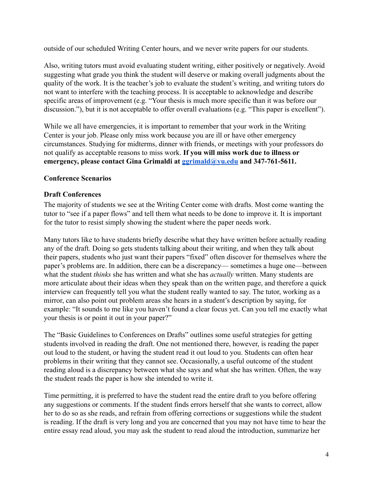outside of our scheduled Writing Center hours, and we never write papers for our students.

Also, writing tutors must avoid evaluating student writing, either positively or negatively. Avoid suggesting what grade you think the student will deserve or making overall judgments about the quality of the work. It is the teacher's job to evaluate the student's writing, and writing tutors do not want to interfere with the teaching process. It is acceptable to acknowledge and describe specific areas of improvement (e.g. "Your thesis is much more specific than it was before our discussion."), but it is not acceptable to offer overall evaluations (e.g. "This paper is excellent").

While we all have emergencies, it is important to remember that your work in the Writing Center is your job. Please only miss work because you are ill or have other emergency circumstances. Studying for midterms, dinner with friends, or meetings with your professors do not qualify as acceptable reasons to miss work. **If you will miss work due to illness or emergency, please contact Gina Grimaldi at [ggrimald@yu.edu](mailto:ggrimald@yu.edu) and 347-761-5611.**

## **Conference Scenarios**

#### **Draft Conferences**

The majority of students we see at the Writing Center come with drafts. Most come wanting the tutor to "see if a paper flows" and tell them what needs to be done to improve it. It is important for the tutor to resist simply showing the student where the paper needs work.

Many tutors like to have students briefly describe what they have written before actually reading any of the draft. Doing so gets students talking about their writing, and when they talk about their papers, students who just want their papers "fixed" often discover for themselves where the paper's problems are. In addition, there can be a discrepancy— sometimes a huge one—between what the student *thinks* she has written and what she has *actually* written. Many students are more articulate about their ideas when they speak than on the written page, and therefore a quick interview can frequently tell you what the student really wanted to say. The tutor, working as a mirror, can also point out problem areas she hears in a student's description by saying, for example: "It sounds to me like you haven't found a clear focus yet. Can you tell me exactly what your thesis is or point it out in your paper?"

The "Basic Guidelines to Conferences on Drafts" outlines some useful strategies for getting students involved in reading the draft. One not mentioned there, however, is reading the paper out loud to the student, or having the student read it out loud to you. Students can often hear problems in their writing that they cannot see. Occasionally, a useful outcome of the student reading aloud is a discrepancy between what she says and what she has written. Often, the way the student reads the paper is how she intended to write it.

Time permitting, it is preferred to have the student read the entire draft to you before offering any suggestions or comments. If the student finds errors herself that she wants to correct, allow her to do so as she reads, and refrain from offering corrections or suggestions while the student is reading. If the draft is very long and you are concerned that you may not have time to hear the entire essay read aloud, you may ask the student to read aloud the introduction, summarize her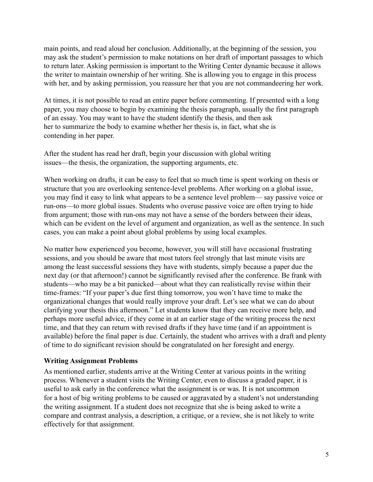main points, and read aloud her conclusion. Additionally, at the beginning of the session, you may ask the student's permission to make notations on her draft of important passages to which to return later. Asking permission is important to the Writing Center dynamic because it allows the writer to maintain ownership of her writing. She is allowing you to engage in this process with her, and by asking permission, you reassure her that you are not commandeering her work.

At times, it is not possible to read an entire paper before commenting. If presented with a long paper, you may choose to begin by examining the thesis paragraph, usually the first paragraph of an essay. You may want to have the student identify the thesis, and then ask her to summarize the body to examine whether her thesis is, in fact, what she is contending in her paper.

After the student has read her draft, begin your discussion with global writing issues—the thesis, the organization, the supporting arguments, etc.

When working on drafts, it can be easy to feel that so much time is spent working on thesis or structure that you are overlooking sentence-level problems. After working on a global issue, you may find it easy to link what appears to be a sentence level problem— say passive voice or run-ons—to more global issues. Students who overuse passive voice are often trying to hide from argument; those with run-ons may not have a sense of the borders between their ideas, which can be evident on the level of argument and organization, as well as the sentence. In such cases, you can make a point about global problems by using local examples.

No matter how experienced you become, however, you will still have occasional frustrating sessions, and you should be aware that most tutors feel strongly that last minute visits are among the least successful sessions they have with students, simply because a paper due the next day (or that afternoon!) cannot be significantly revised after the conference. Be frank with students—who may be a bit panicked—about what they can realistically revise within their time-frames: "If your paper's due first thing tomorrow, you won't have time to make the organizational changes that would really improve your draft. Let's see what we can do about clarifying your thesis this afternoon." Let students know that they can receive more help, and perhaps more useful advice, if they come in at an earlier stage of the writing process the next time, and that they can return with revised drafts if they have time (and if an appointment is available) before the final paper is due. Certainly, the student who arrives with a draft and plenty of time to do significant revision should be congratulated on her foresight and energy.

## **Writing Assignment Problems**

As mentioned earlier, students arrive at the Writing Center at various points in the writing process. Whenever a student visits the Writing Center, even to discuss a graded paper, it is useful to ask early in the conference what the assignment is or was. It is not uncommon for a host of big writing problems to be caused or aggravated by a student's not understanding the writing assignment. If a student does not recognize that she is being asked to write a compare and contrast analysis, a description, a critique, or a review, she is not likely to write effectively for that assignment.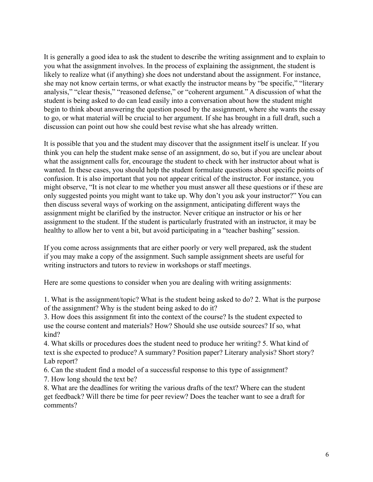It is generally a good idea to ask the student to describe the writing assignment and to explain to you what the assignment involves. In the process of explaining the assignment, the student is likely to realize what (if anything) she does not understand about the assignment. For instance, she may not know certain terms, or what exactly the instructor means by "be specific," "literary analysis," "clear thesis," "reasoned defense," or "coherent argument." A discussion of what the student is being asked to do can lead easily into a conversation about how the student might begin to think about answering the question posed by the assignment, where she wants the essay to go, or what material will be crucial to her argument. If she has brought in a full draft, such a discussion can point out how she could best revise what she has already written.

It is possible that you and the student may discover that the assignment itself is unclear. If you think you can help the student make sense of an assignment, do so, but if you are unclear about what the assignment calls for, encourage the student to check with her instructor about what is wanted. In these cases, you should help the student formulate questions about specific points of confusion. It is also important that you not appear critical of the instructor. For instance, you might observe, "It is not clear to me whether you must answer all these questions or if these are only suggested points you might want to take up. Why don't you ask your instructor?" You can then discuss several ways of working on the assignment, anticipating different ways the assignment might be clarified by the instructor. Never critique an instructor or his or her assignment to the student. If the student is particularly frustrated with an instructor, it may be healthy to allow her to vent a bit, but avoid participating in a "teacher bashing" session.

If you come across assignments that are either poorly or very well prepared, ask the student if you may make a copy of the assignment. Such sample assignment sheets are useful for writing instructors and tutors to review in workshops or staff meetings.

Here are some questions to consider when you are dealing with writing assignments:

1. What is the assignment/topic? What is the student being asked to do? 2. What is the purpose of the assignment? Why is the student being asked to do it?

3. How does this assignment fit into the context of the course? Is the student expected to use the course content and materials? How? Should she use outside sources? If so, what kind?

4. What skills or procedures does the student need to produce her writing? 5. What kind of text is she expected to produce? A summary? Position paper? Literary analysis? Short story? Lab report?

6. Can the student find a model of a successful response to this type of assignment?

7. How long should the text be?

8. What are the deadlines for writing the various drafts of the text? Where can the student get feedback? Will there be time for peer review? Does the teacher want to see a draft for comments?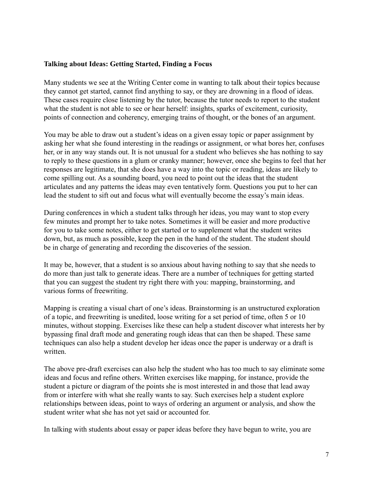#### **Talking about Ideas: Getting Started, Finding a Focus**

Many students we see at the Writing Center come in wanting to talk about their topics because they cannot get started, cannot find anything to say, or they are drowning in a flood of ideas. These cases require close listening by the tutor, because the tutor needs to report to the student what the student is not able to see or hear herself: insights, sparks of excitement, curiosity, points of connection and coherency, emerging trains of thought, or the bones of an argument.

You may be able to draw out a student's ideas on a given essay topic or paper assignment by asking her what she found interesting in the readings or assignment, or what bores her, confuses her, or in any way stands out. It is not unusual for a student who believes she has nothing to say to reply to these questions in a glum or cranky manner; however, once she begins to feel that her responses are legitimate, that she does have a way into the topic or reading, ideas are likely to come spilling out. As a sounding board, you need to point out the ideas that the student articulates and any patterns the ideas may even tentatively form. Questions you put to her can lead the student to sift out and focus what will eventually become the essay's main ideas.

During conferences in which a student talks through her ideas, you may want to stop every few minutes and prompt her to take notes. Sometimes it will be easier and more productive for you to take some notes, either to get started or to supplement what the student writes down, but, as much as possible, keep the pen in the hand of the student. The student should be in charge of generating and recording the discoveries of the session.

It may be, however, that a student is so anxious about having nothing to say that she needs to do more than just talk to generate ideas. There are a number of techniques for getting started that you can suggest the student try right there with you: mapping, brainstorming, and various forms of freewriting.

Mapping is creating a visual chart of one's ideas. Brainstorming is an unstructured exploration of a topic, and freewriting is unedited, loose writing for a set period of time, often 5 or 10 minutes, without stopping. Exercises like these can help a student discover what interests her by bypassing final draft mode and generating rough ideas that can then be shaped. These same techniques can also help a student develop her ideas once the paper is underway or a draft is written.

The above pre-draft exercises can also help the student who has too much to say eliminate some ideas and focus and refine others. Written exercises like mapping, for instance, provide the student a picture or diagram of the points she is most interested in and those that lead away from or interfere with what she really wants to say. Such exercises help a student explore relationships between ideas, point to ways of ordering an argument or analysis, and show the student writer what she has not yet said or accounted for.

In talking with students about essay or paper ideas before they have begun to write, you are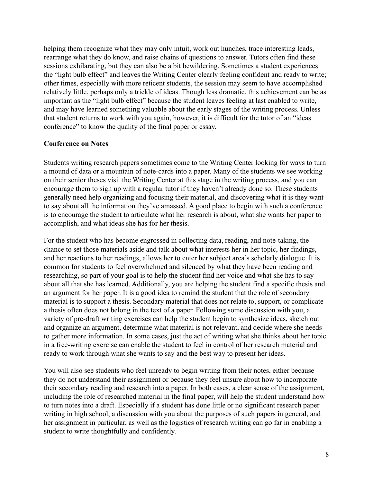helping them recognize what they may only intuit, work out hunches, trace interesting leads, rearrange what they do know, and raise chains of questions to answer. Tutors often find these sessions exhilarating, but they can also be a bit bewildering. Sometimes a student experiences the "light bulb effect" and leaves the Writing Center clearly feeling confident and ready to write; other times, especially with more reticent students, the session may seem to have accomplished relatively little, perhaps only a trickle of ideas. Though less dramatic, this achievement can be as important as the "light bulb effect" because the student leaves feeling at last enabled to write, and may have learned something valuable about the early stages of the writing process. Unless that student returns to work with you again, however, it is difficult for the tutor of an "ideas conference" to know the quality of the final paper or essay.

#### **Conference on Notes**

Students writing research papers sometimes come to the Writing Center looking for ways to turn a mound of data or a mountain of note-cards into a paper. Many of the students we see working on their senior theses visit the Writing Center at this stage in the writing process, and you can encourage them to sign up with a regular tutor if they haven't already done so. These students generally need help organizing and focusing their material, and discovering what it is they want to say about all the information they've amassed. A good place to begin with such a conference is to encourage the student to articulate what her research is about, what she wants her paper to accomplish, and what ideas she has for her thesis.

For the student who has become engrossed in collecting data, reading, and note-taking, the chance to set those materials aside and talk about what interests her in her topic, her findings, and her reactions to her readings, allows her to enter her subject area's scholarly dialogue. It is common for students to feel overwhelmed and silenced by what they have been reading and researching, so part of your goal is to help the student find her voice and what she has to say about all that she has learned. Additionally, you are helping the student find a specific thesis and an argument for her paper. It is a good idea to remind the student that the role of secondary material is to support a thesis. Secondary material that does not relate to, support, or complicate a thesis often does not belong in the text of a paper. Following some discussion with you, a variety of pre-draft writing exercises can help the student begin to synthesize ideas, sketch out and organize an argument, determine what material is not relevant, and decide where she needs to gather more information. In some cases, just the act of writing what she thinks about her topic in a free-writing exercise can enable the student to feel in control of her research material and ready to work through what she wants to say and the best way to present her ideas.

You will also see students who feel unready to begin writing from their notes, either because they do not understand their assignment or because they feel unsure about how to incorporate their secondary reading and research into a paper. In both cases, a clear sense of the assignment, including the role of researched material in the final paper, will help the student understand how to turn notes into a draft. Especially if a student has done little or no significant research paper writing in high school, a discussion with you about the purposes of such papers in general, and her assignment in particular, as well as the logistics of research writing can go far in enabling a student to write thoughtfully and confidently.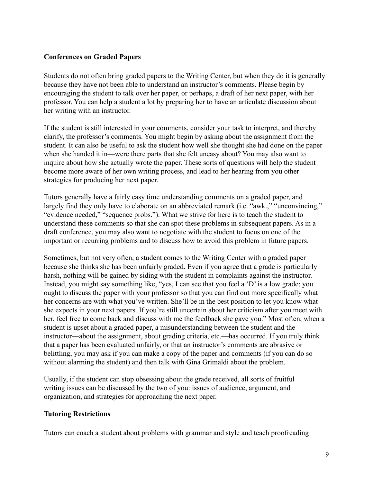## **Conferences on Graded Papers**

Students do not often bring graded papers to the Writing Center, but when they do it is generally because they have not been able to understand an instructor's comments. Please begin by encouraging the student to talk over her paper, or perhaps, a draft of her next paper, with her professor. You can help a student a lot by preparing her to have an articulate discussion about her writing with an instructor.

If the student is still interested in your comments, consider your task to interpret, and thereby clarify, the professor's comments. You might begin by asking about the assignment from the student. It can also be useful to ask the student how well she thought she had done on the paper when she handed it in—were there parts that she felt uneasy about? You may also want to inquire about how she actually wrote the paper. These sorts of questions will help the student become more aware of her own writing process, and lead to her hearing from you other strategies for producing her next paper.

Tutors generally have a fairly easy time understanding comments on a graded paper, and largely find they only have to elaborate on an abbreviated remark (i.e. "awk.," "unconvincing," "evidence needed," "sequence probs."). What we strive for here is to teach the student to understand these comments so that she can spot these problems in subsequent papers. As in a draft conference, you may also want to negotiate with the student to focus on one of the important or recurring problems and to discuss how to avoid this problem in future papers.

Sometimes, but not very often, a student comes to the Writing Center with a graded paper because she thinks she has been unfairly graded. Even if you agree that a grade is particularly harsh, nothing will be gained by siding with the student in complaints against the instructor. Instead, you might say something like, "yes, I can see that you feel a 'D' is a low grade; you ought to discuss the paper with your professor so that you can find out more specifically what her concerns are with what you've written. She'll be in the best position to let you know what she expects in your next papers. If you're still uncertain about her criticism after you meet with her, feel free to come back and discuss with me the feedback she gave you." Most often, when a student is upset about a graded paper, a misunderstanding between the student and the instructor—about the assignment, about grading criteria, etc.—has occurred. If you truly think that a paper has been evaluated unfairly, or that an instructor's comments are abrasive or belittling, you may ask if you can make a copy of the paper and comments (if you can do so without alarming the student) and then talk with Gina Grimaldi about the problem.

Usually, if the student can stop obsessing about the grade received, all sorts of fruitful writing issues can be discussed by the two of you: issues of audience, argument, and organization, and strategies for approaching the next paper.

## **Tutoring Restrictions**

Tutors can coach a student about problems with grammar and style and teach proofreading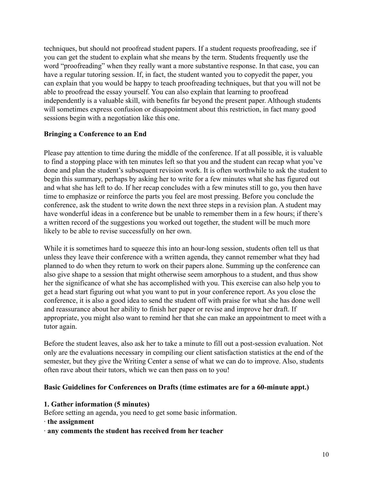techniques, but should not proofread student papers. If a student requests proofreading, see if you can get the student to explain what she means by the term. Students frequently use the word "proofreading" when they really want a more substantive response. In that case, you can have a regular tutoring session. If, in fact, the student wanted you to copyedit the paper, you can explain that you would be happy to teach proofreading techniques, but that you will not be able to proofread the essay yourself. You can also explain that learning to proofread independently is a valuable skill, with benefits far beyond the present paper. Although students will sometimes express confusion or disappointment about this restriction, in fact many good sessions begin with a negotiation like this one.

#### **Bringing a Conference to an End**

Please pay attention to time during the middle of the conference. If at all possible, it is valuable to find a stopping place with ten minutes left so that you and the student can recap what you've done and plan the student's subsequent revision work. It is often worthwhile to ask the student to begin this summary, perhaps by asking her to write for a few minutes what she has figured out and what she has left to do. If her recap concludes with a few minutes still to go, you then have time to emphasize or reinforce the parts you feel are most pressing. Before you conclude the conference, ask the student to write down the next three steps in a revision plan. A student may have wonderful ideas in a conference but be unable to remember them in a few hours; if there's a written record of the suggestions you worked out together, the student will be much more likely to be able to revise successfully on her own.

While it is sometimes hard to squeeze this into an hour-long session, students often tell us that unless they leave their conference with a written agenda, they cannot remember what they had planned to do when they return to work on their papers alone. Summing up the conference can also give shape to a session that might otherwise seem amorphous to a student, and thus show her the significance of what she has accomplished with you. This exercise can also help you to get a head start figuring out what you want to put in your conference report. As you close the conference, it is also a good idea to send the student off with praise for what she has done well and reassurance about her ability to finish her paper or revise and improve her draft. If appropriate, you might also want to remind her that she can make an appointment to meet with a tutor again.

Before the student leaves, also ask her to take a minute to fill out a post-session evaluation. Not only are the evaluations necessary in compiling our client satisfaction statistics at the end of the semester, but they give the Writing Center a sense of what we can do to improve. Also, students often rave about their tutors, which we can then pass on to you!

#### **Basic Guidelines for Conferences on Drafts (time estimates are for a 60-minute appt.)**

#### **1. Gather information (5 minutes)**

Before setting an agenda, you need to get some basic information.

- ∙ **the assignment**
- ∙ **any comments the student has received from her teacher**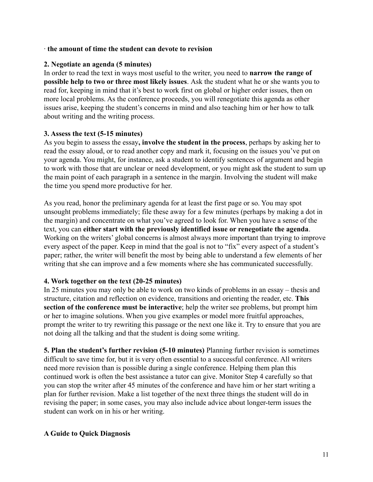#### ∙ **the amount of time the student can devote to revision**

#### **2. Negotiate an agenda (5 minutes)**

In order to read the text in ways most useful to the writer, you need to **narrow the range of possible help to two or three most likely issues**. Ask the student what he or she wants you to read for, keeping in mind that it's best to work first on global or higher order issues, then on more local problems. As the conference proceeds, you will renegotiate this agenda as other issues arise, keeping the student's concerns in mind and also teaching him or her how to talk about writing and the writing process.

## **3. Assess the text (5-15 minutes)**

As you begin to assess the essay**, involve the student in the process**, perhaps by asking her to read the essay aloud, or to read another copy and mark it, focusing on the issues you've put on your agenda. You might, for instance, ask a student to identify sentences of argument and begin to work with those that are unclear or need development, or you might ask the student to sum up the main point of each paragraph in a sentence in the margin. Involving the student will make the time you spend more productive for her.

As you read, honor the preliminary agenda for at least the first page or so. You may spot unsought problems immediately; file these away for a few minutes (perhaps by making a dot in the margin) and concentrate on what you've agreed to look for. When you have a sense of the text, you can **either start with the previously identified issue or renegotiate the agenda**. Working on the writers' global concerns is almost always more important than trying to improve every aspect of the paper. Keep in mind that the goal is not to "fix" every aspect of a student's paper; rather, the writer will benefit the most by being able to understand a few elements of her writing that she can improve and a few moments where she has communicated successfully.

## **4. Work together on the text (20-25 minutes)**

In 25 minutes you may only be able to work on two kinds of problems in an essay – thesis and structure, citation and reflection on evidence, transitions and orienting the reader, etc. **This section of the conference must be interactive**; help the writer see problems, but prompt him or her to imagine solutions. When you give examples or model more fruitful approaches, prompt the writer to try rewriting this passage or the next one like it. Try to ensure that you are not doing all the talking and that the student is doing some writing.

**5. Plan the student's further revision (5-10 minutes)** Planning further revision is sometimes difficult to save time for, but it is very often essential to a successful conference. All writers need more revision than is possible during a single conference. Helping them plan this continued work is often the best assistance a tutor can give. Monitor Step 4 carefully so that you can stop the writer after 45 minutes of the conference and have him or her start writing a plan for further revision. Make a list together of the next three things the student will do in revising the paper; in some cases, you may also include advice about longer-term issues the student can work on in his or her writing.

## **A Guide to Quick Diagnosis**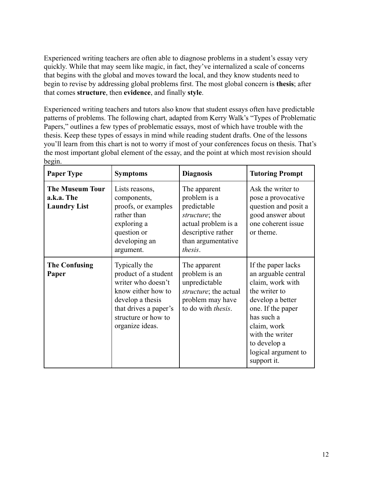Experienced writing teachers are often able to diagnose problems in a student's essay very quickly. While that may seem like magic, in fact, they've internalized a scale of concerns that begins with the global and moves toward the local, and they know students need to begin to revise by addressing global problems first. The most global concern is **thesis**; after that comes **structure**, then **evidence**, and finally **style**.

Experienced writing teachers and tutors also know that student essays often have predictable patterns of problems. The following chart, adapted from Kerry Walk's "Types of Problematic Papers," outlines a few types of problematic essays, most of which have trouble with the thesis. Keep these types of essays in mind while reading student drafts. One of the lessons you'll learn from this chart is not to worry if most of your conferences focus on thesis. That's the most important global element of the essay, and the point at which most revision should begin.

| <b>Paper Type</b>                                           | <b>Symptoms</b>                                                                                                                                                          | <b>Diagnosis</b>                                                                                                                                    | <b>Tutoring Prompt</b>                                                                                                                                                                                                        |
|-------------------------------------------------------------|--------------------------------------------------------------------------------------------------------------------------------------------------------------------------|-----------------------------------------------------------------------------------------------------------------------------------------------------|-------------------------------------------------------------------------------------------------------------------------------------------------------------------------------------------------------------------------------|
| <b>The Museum Tour</b><br>a.k.a. The<br><b>Laundry List</b> | Lists reasons,<br>components,<br>proofs, or examples<br>rather than<br>exploring a<br>question or<br>developing an<br>argument.                                          | The apparent<br>problem is a<br>predictable<br><i>structure</i> ; the<br>actual problem is a<br>descriptive rather<br>than argumentative<br>thesis. | Ask the writer to<br>pose a provocative<br>question and posit a<br>good answer about<br>one coherent issue<br>or theme.                                                                                                       |
| <b>The Confusing</b><br>Paper                               | Typically the<br>product of a student<br>writer who doesn't<br>know either how to<br>develop a thesis<br>that drives a paper's<br>structure or how to<br>organize ideas. | The apparent<br>problem is an<br>unpredictable<br>structure; the actual<br>problem may have<br>to do with <i>thesis</i> .                           | If the paper lacks<br>an arguable central<br>claim, work with<br>the writer to<br>develop a better<br>one. If the paper<br>has such a<br>claim, work<br>with the writer<br>to develop a<br>logical argument to<br>support it. |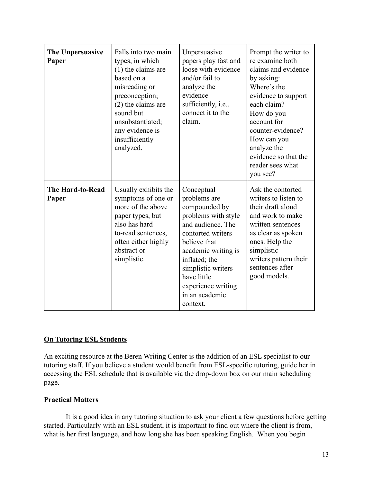| The Unpersuasive<br>Paper        | Falls into two main<br>types, in which<br>$(1)$ the claims are<br>based on a<br>misreading or<br>preconception;<br>$(2)$ the claims are<br>sound but<br>unsubstantiated;<br>any evidence is<br>insufficiently<br>analyzed. | Unpersuasive<br>papers play fast and<br>loose with evidence<br>and/or fail to<br>analyze the<br>evidence<br>sufficiently, <i>i.e.</i> ,<br>connect it to the<br>claim.                                                                                        | Prompt the writer to<br>re examine both<br>claims and evidence<br>by asking:<br>Where's the<br>evidence to support<br>each claim?<br>How do you<br>account for<br>counter-evidence?<br>How can you<br>analyze the<br>evidence so that the<br>reader sees what<br>you see? |
|----------------------------------|----------------------------------------------------------------------------------------------------------------------------------------------------------------------------------------------------------------------------|---------------------------------------------------------------------------------------------------------------------------------------------------------------------------------------------------------------------------------------------------------------|---------------------------------------------------------------------------------------------------------------------------------------------------------------------------------------------------------------------------------------------------------------------------|
| <b>The Hard-to-Read</b><br>Paper | Usually exhibits the<br>symptoms of one or<br>more of the above<br>paper types, but<br>also has hard<br>to-read sentences,<br>often either highly<br>abstract or<br>simplistic.                                            | Conceptual<br>problems are<br>compounded by<br>problems with style<br>and audience. The<br>contorted writers<br>believe that<br>academic writing is<br>inflated; the<br>simplistic writers<br>have little<br>experience writing<br>in an academic<br>context. | Ask the contorted<br>writers to listen to<br>their draft aloud<br>and work to make<br>written sentences<br>as clear as spoken<br>ones. Help the<br>simplistic<br>writers pattern their<br>sentences after<br>good models.                                                 |

## **On Tutoring ESL Students**

An exciting resource at the Beren Writing Center is the addition of an ESL specialist to our tutoring staff. If you believe a student would benefit from ESL-specific tutoring, guide her in accessing the ESL schedule that is available via the drop-down box on our main scheduling page.

# **Practical Matters**

It is a good idea in any tutoring situation to ask your client a few questions before getting started. Particularly with an ESL student, it is important to find out where the client is from, what is her first language, and how long she has been speaking English. When you begin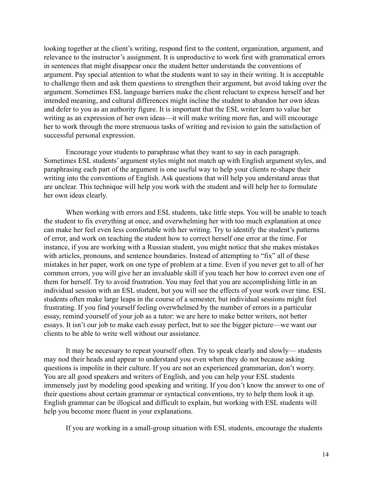looking together at the client's writing, respond first to the content, organization, argument, and relevance to the instructor's assignment. It is unproductive to work first with grammatical errors in sentences that might disappear once the student better understands the conventions of argument. Pay special attention to what the students want to say in their writing. It is acceptable to challenge them and ask them questions to strengthen their argument, but avoid taking over the argument. Sometimes ESL language barriers make the client reluctant to express herself and her intended meaning, and cultural differences might incline the student to abandon her own ideas and defer to you as an authority figure. It is important that the ESL writer learn to value her writing as an expression of her own ideas—it will make writing more fun, and will encourage her to work through the more strenuous tasks of writing and revision to gain the satisfaction of successful personal expression.

Encourage your students to paraphrase what they want to say in each paragraph. Sometimes ESL students' argument styles might not match up with English argument styles, and paraphrasing each part of the argument is one useful way to help your clients re-shape their writing into the conventions of English. Ask questions that will help you understand areas that are unclear. This technique will help you work with the student and will help her to formulate her own ideas clearly.

When working with errors and ESL students, take little steps. You will be unable to teach the student to fix everything at once, and overwhelming her with too much explanation at once can make her feel even less comfortable with her writing. Try to identify the student's patterns of error, and work on teaching the student how to correct herself one error at the time. For instance, if you are working with a Russian student, you might notice that she makes mistakes with articles, pronouns, and sentence boundaries. Instead of attempting to "fix" all of these mistakes in her paper, work on one type of problem at a time. Even if you never get to all of her common errors, you will give her an invaluable skill if you teach her how to correct even one of them for herself. Try to avoid frustration. You may feel that you are accomplishing little in an individual session with an ESL student, but you will see the effects of your work over time. ESL students often make large leaps in the course of a semester, but individual sessions might feel frustrating. If you find yourself feeling overwhelmed by the number of errors in a particular essay, remind yourself of your job as a tutor: we are here to make better writers, not better essays. It isn't our job to make each essay perfect, but to see the bigger picture—we want our clients to be able to write well without our assistance.

It may be necessary to repeat yourself often. Try to speak clearly and slowly— students may nod their heads and appear to understand you even when they do not because asking questions is impolite in their culture. If you are not an experienced grammarian, don't worry. You are all good speakers and writers of English, and you can help your ESL students immensely just by modeling good speaking and writing. If you don't know the answer to one of their questions about certain grammar or syntactical conventions, try to help them look it up. English grammar can be illogical and difficult to explain, but working with ESL students will help you become more fluent in your explanations.

If you are working in a small-group situation with ESL students, encourage the students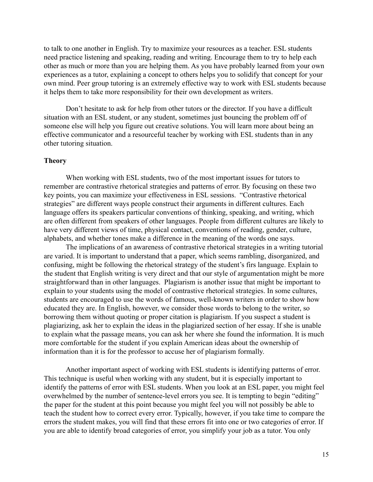to talk to one another in English. Try to maximize your resources as a teacher. ESL students need practice listening and speaking, reading and writing. Encourage them to try to help each other as much or more than you are helping them. As you have probably learned from your own experiences as a tutor, explaining a concept to others helps you to solidify that concept for your own mind. Peer group tutoring is an extremely effective way to work with ESL students because it helps them to take more responsibility for their own development as writers.

Don't hesitate to ask for help from other tutors or the director. If you have a difficult situation with an ESL student, or any student, sometimes just bouncing the problem off of someone else will help you figure out creative solutions. You will learn more about being an effective communicator and a resourceful teacher by working with ESL students than in any other tutoring situation.

#### **Theory**

When working with ESL students, two of the most important issues for tutors to remember are contrastive rhetorical strategies and patterns of error. By focusing on these two key points, you can maximize your effectiveness in ESL sessions. "Contrastive rhetorical strategies" are different ways people construct their arguments in different cultures. Each language offers its speakers particular conventions of thinking, speaking, and writing, which are often different from speakers of other languages. People from different cultures are likely to have very different views of time, physical contact, conventions of reading, gender, culture, alphabets, and whether tones make a difference in the meaning of the words one says.

The implications of an awareness of contrastive rhetorical strategies in a writing tutorial are varied. It is important to understand that a paper, which seems rambling, disorganized, and confusing, might be following the rhetorical strategy of the student's firs language. Explain to the student that English writing is very direct and that our style of argumentation might be more straightforward than in other languages. Plagiarism is another issue that might be important to explain to your students using the model of contrastive rhetorical strategies. In some cultures, students are encouraged to use the words of famous, well-known writers in order to show how educated they are. In English, however, we consider those words to belong to the writer, so borrowing them without quoting or proper citation is plagiarism. If you suspect a student is plagiarizing, ask her to explain the ideas in the plagiarized section of her essay. If she is unable to explain what the passage means, you can ask her where she found the information. It is much more comfortable for the student if you explain American ideas about the ownership of information than it is for the professor to accuse her of plagiarism formally.

Another important aspect of working with ESL students is identifying patterns of error. This technique is useful when working with any student, but it is especially important to identify the patterns of error with ESL students. When you look at an ESL paper, you might feel overwhelmed by the number of sentence-level errors you see. It is tempting to begin "editing" the paper for the student at this point because you might feel you will not possibly be able to teach the student how to correct every error. Typically, however, if you take time to compare the errors the student makes, you will find that these errors fit into one or two categories of error. If you are able to identify broad categories of error, you simplify your job as a tutor. You only